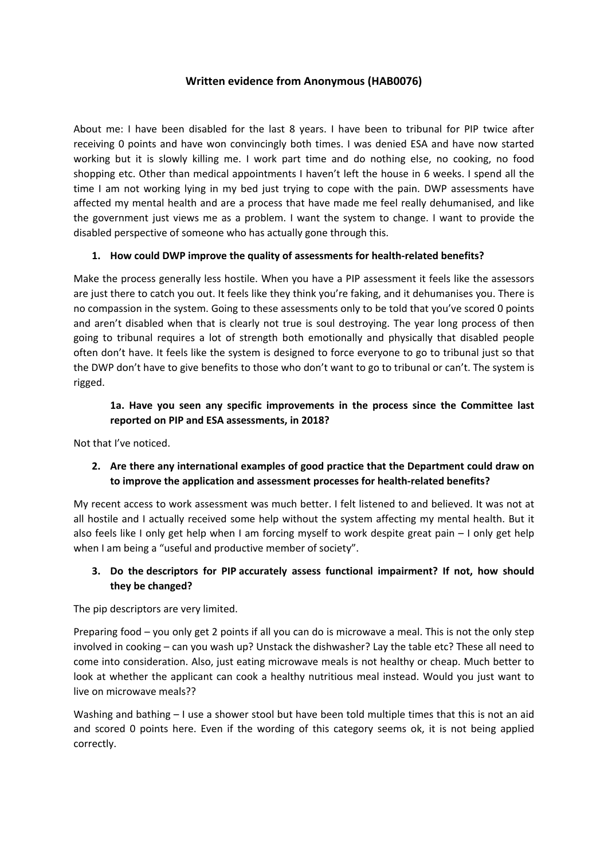### **Written evidence from Anonymous (HAB0076)**

About me: I have been disabled for the last 8 years. I have been to tribunal for PIP twice after receiving 0 points and have won convincingly both times. I was denied ESA and have now started working but it is slowly killing me. I work part time and do nothing else, no cooking, no food shopping etc. Other than medical appointments I haven't left the house in 6 weeks. I spend all the time I am not working lying in my bed just trying to cope with the pain. DWP assessments have affected my mental health and are a process that have made me feel really dehumanised, and like the government just views me as a problem. I want the system to change. I want to provide the disabled perspective of someone who has actually gone through this.

### **1. How could DWP improve the quality of assessments for health-related benefits?**

Make the process generally less hostile. When you have a PIP assessment it feels like the assessors are just there to catch you out. It feels like they think you're faking, and it dehumanises you. There is no compassion in the system. Going to these assessments only to be told that you've scored 0 points and aren't disabled when that is clearly not true is soul destroying. The year long process of then going to tribunal requires a lot of strength both emotionally and physically that disabled people often don't have. It feels like the system is designed to force everyone to go to tribunal just so that the DWP don't have to give benefits to those who don't want to go to tribunal or can't. The system is rigged.

### **1a. Have you seen any specific improvements in the process since the Committee last reported on PIP and ESA assessments, in 2018?**

Not that I've noticed.

# **2. Are there any international examples of good practice that the Department could draw on to improve the application and assessment processes for health-related benefits?**

My recent access to work assessment was much better. I felt listened to and believed. It was not at all hostile and I actually received some help without the system affecting my mental health. But it also feels like I only get help when I am forcing myself to work despite great pain – I only get help when I am being a "useful and productive member of society".

### **3. Do the [descriptors](https://www.citizensadvice.org.uk/Global/Migrated_Documents/adviceguide/pip-9-table-of-activities-descriptors-and-points.pdf) [for](https://www.citizensadvice.org.uk/Global/Migrated_Documents/adviceguide/pip-9-table-of-activities-descriptors-and-points.pdf) [PIP](https://www.citizensadvice.org.uk/Global/Migrated_Documents/adviceguide/pip-9-table-of-activities-descriptors-and-points.pdf) accurately assess functional impairment? If not, how should they be changed?**

The pip descriptors are very limited.

Preparing food – you only get 2 points if all you can do is microwave a meal. This is not the only step involved in cooking – can you wash up? Unstack the dishwasher? Lay the table etc? These all need to come into consideration. Also, just eating microwave meals is not healthy or cheap. Much better to look at whether the applicant can cook a healthy nutritious meal instead. Would you just want to live on microwave meals??

Washing and bathing – I use a shower stool but have been told multiple times that this is not an aid and scored 0 points here. Even if the wording of this category seems ok, it is not being applied correctly.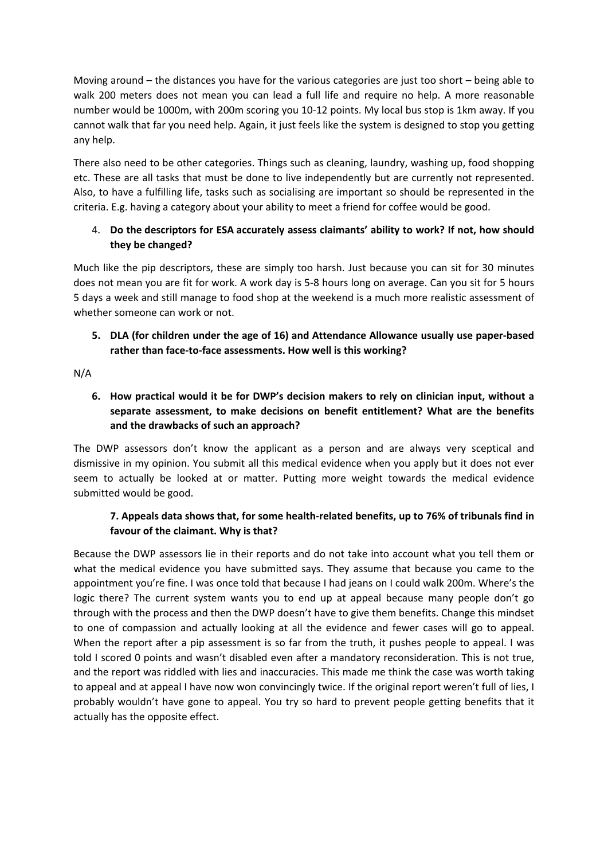Moving around – the distances you have for the various categories are just too short – being able to walk 200 meters does not mean you can lead a full life and require no help. A more reasonable number would be 1000m, with 200m scoring you 10-12 points. My local bus stop is 1km away. If you cannot walk that far you need help. Again, it just feels like the system is designed to stop you getting any help.

There also need to be other categories. Things such as cleaning, laundry, washing up, food shopping etc. These are all tasks that must be done to live independently but are currently not represented. Also, to have a fulfilling life, tasks such as socialising are important so should be represented in the criteria. E.g. having a category about your ability to meet a friend for coffee would be good.

# 4. **Do the [descriptors](https://www.citizensadvice.org.uk/benefits/sick-or-disabled-people-and-carers/employment-and-support-allowance/help-with-your-esa-claim/fill-in-form/) [for](https://www.citizensadvice.org.uk/benefits/sick-or-disabled-people-and-carers/employment-and-support-allowance/help-with-your-esa-claim/fill-in-form/) [ESA](https://www.citizensadvice.org.uk/benefits/sick-or-disabled-people-and-carers/employment-and-support-allowance/help-with-your-esa-claim/fill-in-form/) accurately assess claimants' ability to work? If not, how should they be changed?**

Much like the pip descriptors, these are simply too harsh. Just because you can sit for 30 minutes does not mean you are fit for work. A work day is 5-8 hours long on average. Can you sit for 5 hours 5 days a week and still manage to food shop at the weekend is a much more realistic assessment of whether someone can work or not.

# **5. DLA (for children under the age of 16) and Attendance Allowance usually use paper-based rather than face-to-face assessments. How well is this working?**

N/A

# **6. How practical would it be for DWP's decision makers to rely on clinician input, without a separate assessment, to make decisions on benefit entitlement? What are the benefits and the drawbacks of such an approach?**

The DWP assessors don't know the applicant as a person and are always very sceptical and dismissive in my opinion. You submit all this medical evidence when you apply but it does not ever seem to actually be looked at or matter. Putting more weight towards the medical evidence submitted would be good.

# **7. Appeals data shows that, for some health-related benefits, up to 76% of tribunals find in favour of the claimant. Why is that?**

Because the DWP assessors lie in their reports and do not take into account what you tell them or what the medical evidence you have submitted says. They assume that because you came to the appointment you're fine. I was once told that because I had jeans on I could walk 200m. Where's the logic there? The current system wants you to end up at appeal because many people don't go through with the process and then the DWP doesn't have to give them benefits. Change this mindset to one of compassion and actually looking at all the evidence and fewer cases will go to appeal. When the report after a pip assessment is so far from the truth, it pushes people to appeal. I was told I scored 0 points and wasn't disabled even after a mandatory reconsideration. This is not true, and the report was riddled with lies and inaccuracies. This made me think the case was worth taking to appeal and at appeal I have now won convincingly twice. If the original report weren't full of lies, I probably wouldn't have gone to appeal. You try so hard to prevent people getting benefits that it actually has the opposite effect.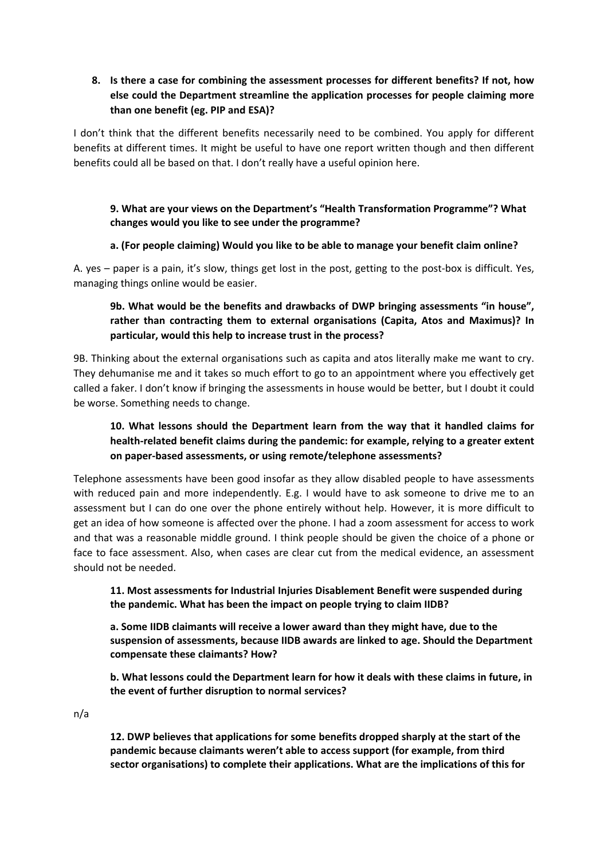### **8. Is there a case for combining the assessment processes for different benefits? If not, how else could the Department streamline the application processes for people claiming more than one benefit (eg. PIP and ESA)?**

I don't think that the different benefits necessarily need to be combined. You apply for different benefits at different times. It might be useful to have one report written though and then different benefits could all be based on that. I don't really have a useful opinion here.

### **9. What are your views on the Department's "Health Transformation Programme"? What changes would you like to see under the programme?**

### **a. (For people claiming) Would you like to be able to manage your benefit claim online?**

A. yes – paper is a pain, it's slow, things get lost in the post, getting to the post-box is difficult. Yes, managing things online would be easier.

# **9b. What would be the benefits and drawbacks of DWP bringing assessments "in house", rather than contracting them to external organisations (Capita, Atos and Maximus)? In particular, would this help to increase trust in the process?**

9B. Thinking about the external organisations such as capita and atos literally make me want to cry. They dehumanise me and it takes so much effort to go to an appointment where you effectively get called a faker. I don't know if bringing the assessments in house would be better, but I doubt it could be worse. Something needs to change.

# **10. What lessons should the Department learn from the way that it handled claims for health-related benefit claims during the pandemic: for example, relying to a greater extent on paper-based assessments, or using remote/telephone assessments?**

Telephone assessments have been good insofar as they allow disabled people to have assessments with reduced pain and more independently. E.g. I would have to ask someone to drive me to an assessment but I can do one over the phone entirely without help. However, it is more difficult to get an idea of how someone is affected over the phone. I had a zoom assessment for access to work and that was a reasonable middle ground. I think people should be given the choice of a phone or face to face assessment. Also, when cases are clear cut from the medical evidence, an assessment should not be needed.

### **11. [Most](https://committees.parliament.uk/publications/3837/documents/38519/default/) [assessments](https://committees.parliament.uk/publications/3837/documents/38519/default/) [for](https://committees.parliament.uk/publications/3837/documents/38519/default/) [Industrial](https://committees.parliament.uk/publications/3837/documents/38519/default/) [Injuries](https://committees.parliament.uk/publications/3837/documents/38519/default/) [Disablement](https://committees.parliament.uk/publications/3837/documents/38519/default/) [Benefit](https://committees.parliament.uk/publications/3837/documents/38519/default/) [were](https://committees.parliament.uk/publications/3837/documents/38519/default/) [suspended](https://committees.parliament.uk/publications/3837/documents/38519/default/) [during](https://committees.parliament.uk/publications/3837/documents/38519/default/) [the](https://committees.parliament.uk/publications/3837/documents/38519/default/) [pandemic.](https://committees.parliament.uk/publications/3837/documents/38519/default/) What has been the impact on people trying to claim IIDB?**

**a. [Some](https://committees.parliament.uk/oralevidence/1630/pdf/) [IIDB](https://committees.parliament.uk/oralevidence/1630/pdf/) [claimants](https://committees.parliament.uk/oralevidence/1630/pdf/) [will](https://committees.parliament.uk/oralevidence/1630/pdf/) [receive](https://committees.parliament.uk/oralevidence/1630/pdf/) [a](https://committees.parliament.uk/oralevidence/1630/pdf/) [lower](https://committees.parliament.uk/oralevidence/1630/pdf/) [award](https://committees.parliament.uk/oralevidence/1630/pdf/) [than](https://committees.parliament.uk/oralevidence/1630/pdf/) [they](https://committees.parliament.uk/oralevidence/1630/pdf/) [might](https://committees.parliament.uk/oralevidence/1630/pdf/) [have,](https://committees.parliament.uk/oralevidence/1630/pdf/) [due](https://committees.parliament.uk/oralevidence/1630/pdf/) [to](https://committees.parliament.uk/oralevidence/1630/pdf/) [the](https://committees.parliament.uk/oralevidence/1630/pdf/) [suspension](https://committees.parliament.uk/oralevidence/1630/pdf/) [of](https://committees.parliament.uk/oralevidence/1630/pdf/) [assessments,](https://committees.parliament.uk/oralevidence/1630/pdf/) [because](https://committees.parliament.uk/oralevidence/1630/pdf/) [IIDB](https://committees.parliament.uk/oralevidence/1630/pdf/) [awards](https://committees.parliament.uk/oralevidence/1630/pdf/) [are](https://committees.parliament.uk/oralevidence/1630/pdf/) [linked](https://committees.parliament.uk/oralevidence/1630/pdf/) [to](https://committees.parliament.uk/oralevidence/1630/pdf/) [age.](https://committees.parliament.uk/oralevidence/1630/pdf/) Should the Department compensate these claimants? How?**

**b. What lessons could the Department learn for how it deals with these claims in future, in the event of further disruption to normal services?**

n/a

**12. DWP believes that applications for some benefits dropped sharply at the start of the pandemic because [claimants](https://publications.parliament.uk/pa/cm5801/cmselect/cmworpen/732/73202.htm) [weren't](https://publications.parliament.uk/pa/cm5801/cmselect/cmworpen/732/73202.htm) [able](https://publications.parliament.uk/pa/cm5801/cmselect/cmworpen/732/73202.htm) [to](https://publications.parliament.uk/pa/cm5801/cmselect/cmworpen/732/73202.htm) [access](https://publications.parliament.uk/pa/cm5801/cmselect/cmworpen/732/73202.htm) [support](https://publications.parliament.uk/pa/cm5801/cmselect/cmworpen/732/73202.htm) [\(for](https://publications.parliament.uk/pa/cm5801/cmselect/cmworpen/732/73202.htm) [example,](https://publications.parliament.uk/pa/cm5801/cmselect/cmworpen/732/73202.htm) [from](https://publications.parliament.uk/pa/cm5801/cmselect/cmworpen/732/73202.htm) [third](https://publications.parliament.uk/pa/cm5801/cmselect/cmworpen/732/73202.htm) [sector](https://publications.parliament.uk/pa/cm5801/cmselect/cmworpen/732/73202.htm) [organisations\)](https://publications.parliament.uk/pa/cm5801/cmselect/cmworpen/732/73202.htm) [to](https://publications.parliament.uk/pa/cm5801/cmselect/cmworpen/732/73202.htm) [complete](https://publications.parliament.uk/pa/cm5801/cmselect/cmworpen/732/73202.htm) [their](https://publications.parliament.uk/pa/cm5801/cmselect/cmworpen/732/73202.htm) [applications.](https://publications.parliament.uk/pa/cm5801/cmselect/cmworpen/732/73202.htm) What are the implications of this for**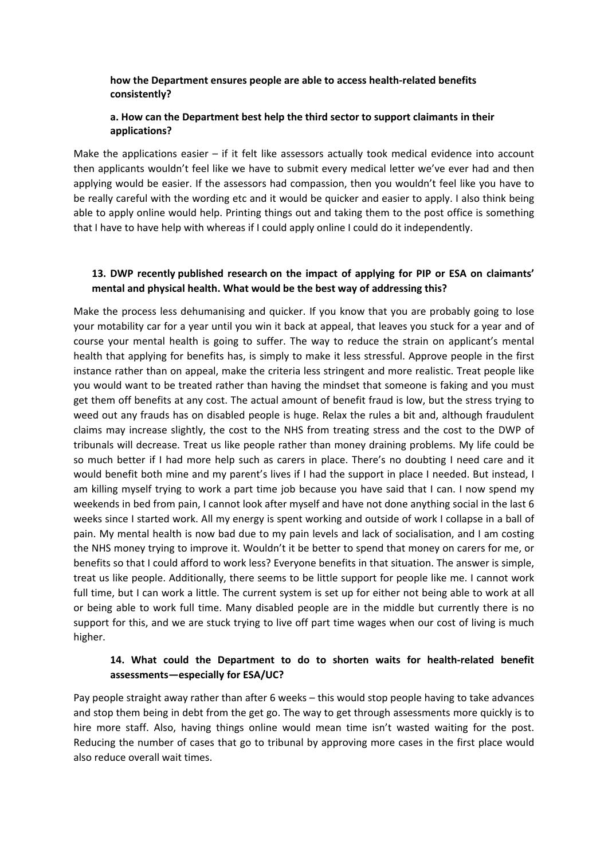#### **how the Department ensures people are able to access health-related benefits consistently?**

### **a. How can the Department best help the third sector to support claimants in their applications?**

Make the applications easier  $-$  if it felt like assessors actually took medical evidence into account then applicants wouldn't feel like we have to submit every medical letter we've ever had and then applying would be easier. If the assessors had compassion, then you wouldn't feel like you have to be really careful with the wording etc and it would be quicker and easier to apply. I also think being able to apply online would help. Printing things out and taking them to the post office is something that I have to have help with whereas if I could apply online I could do it independently.

### **13. DWP recently [published](https://www.gov.uk/government/publications/claimant-views-on-ways-to-improve-pip-and-esa-questionnaires/claimant-views-on-ways-to-improve-pip-and-esa-questionnaires) [research](https://www.gov.uk/government/publications/claimant-views-on-ways-to-improve-pip-and-esa-questionnaires/claimant-views-on-ways-to-improve-pip-and-esa-questionnaires) on the impact of applying for PIP or ESA on claimants' mental and physical health. What would be the best way of addressing this?**

Make the process less dehumanising and quicker. If you know that you are probably going to lose your motability car for a year until you win it back at appeal, that leaves you stuck for a year and of course your mental health is going to suffer. The way to reduce the strain on applicant's mental health that applying for benefits has, is simply to make it less stressful. Approve people in the first instance rather than on appeal, make the criteria less stringent and more realistic. Treat people like you would want to be treated rather than having the mindset that someone is faking and you must get them off benefits at any cost. The actual amount of benefit fraud is low, but the stress trying to weed out any frauds has on disabled people is huge. Relax the rules a bit and, although fraudulent claims may increase slightly, the cost to the NHS from treating stress and the cost to the DWP of tribunals will decrease. Treat us like people rather than money draining problems. My life could be so much better if I had more help such as carers in place. There's no doubting I need care and it would benefit both mine and my parent's lives if I had the support in place I needed. But instead, I am killing myself trying to work a part time job because you have said that I can. I now spend my weekends in bed from pain, I cannot look after myself and have not done anything social in the last 6 weeks since I started work. All my energy is spent working and outside of work I collapse in a ball of pain. My mental health is now bad due to my pain levels and lack of socialisation, and I am costing the NHS money trying to improve it. Wouldn't it be better to spend that money on carers for me, or benefits so that I could afford to work less? Everyone benefits in that situation. The answer is simple, treat us like people. Additionally, there seems to be little support for people like me. I cannot work full time, but I can work a little. The current system is set up for either not being able to work at all or being able to work full time. Many disabled people are in the middle but currently there is no support for this, and we are stuck trying to live off part time wages when our cost of living is much higher.

### **14. What could the Department to do to shorten waits for health-related benefit assessments—especially for ESA/UC?**

Pay people straight away rather than after 6 weeks – this would stop people having to take advances and stop them being in debt from the get go. The way to get through assessments more quickly is to hire more staff. Also, having things online would mean time isn't wasted waiting for the post. Reducing the number of cases that go to tribunal by approving more cases in the first place would also reduce overall wait times.